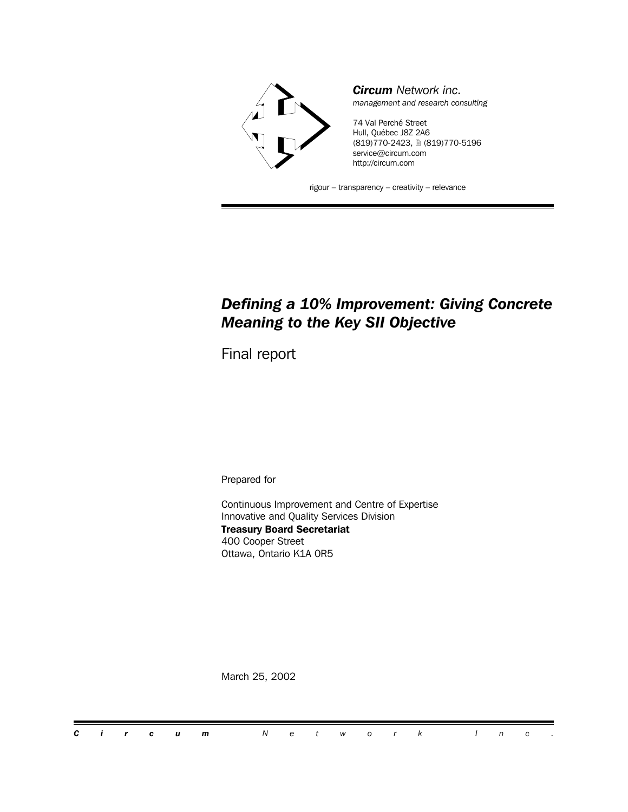

*Circum Network inc. management and research consulting*

74 Val Perché Street Hull, Québec J8Z 2A6 (819)770-2423, 2 (819)770-5196 service@circum.com http://circum.com

rigour – transparency – creativity – relevance

# *Defining a 10% Improvement: Giving Concrete Meaning to the Key SII Objective*

Final report

Prepared for

Continuous Improvement and Centre of Expertise Innovative and Quality Services Division **Treasury Board Secretariat** 400 Cooper Street Ottawa, Ontario K1A 0R5

March 25, 2002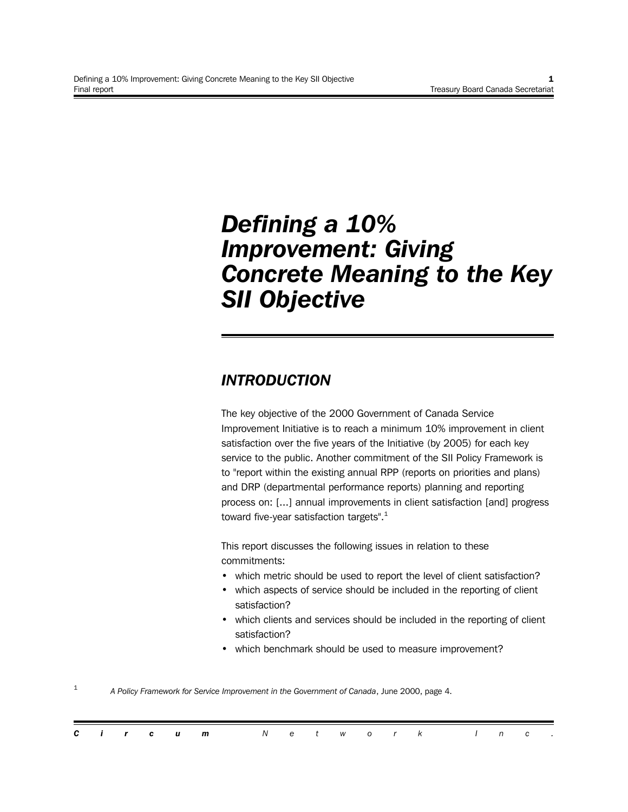# *Defining a 10% Improvement: Giving Concrete Meaning to the Key SII Objective*

# *INTRODUCTION*

The key objective of the 2000 Government of Canada Service Improvement Initiative is to reach a minimum 10% improvement in client satisfaction over the five years of the Initiative (by 2005) for each key service to the public. Another commitment of the SII Policy Framework is to "report within the existing annual RPP (reports on priorities and plans) and DRP (departmental performance reports) planning and reporting process on: [...] annual improvements in client satisfaction [and] progress toward five-year satisfaction targets".<sup>1</sup>

This report discusses the following issues in relation to these commitments:

- which metric should be used to report the level of client satisfaction?
- which aspects of service should be included in the reporting of client satisfaction?
- which clients and services should be included in the reporting of client satisfaction?
- which benchmark should be used to measure improvement?

1 *A Policy Framework for Service Improvement in the Government of Canada*, June 2000, page 4.

|  |  | <b>Circum</b> Network Inc. |  |  |  |  |  |  |
|--|--|----------------------------|--|--|--|--|--|--|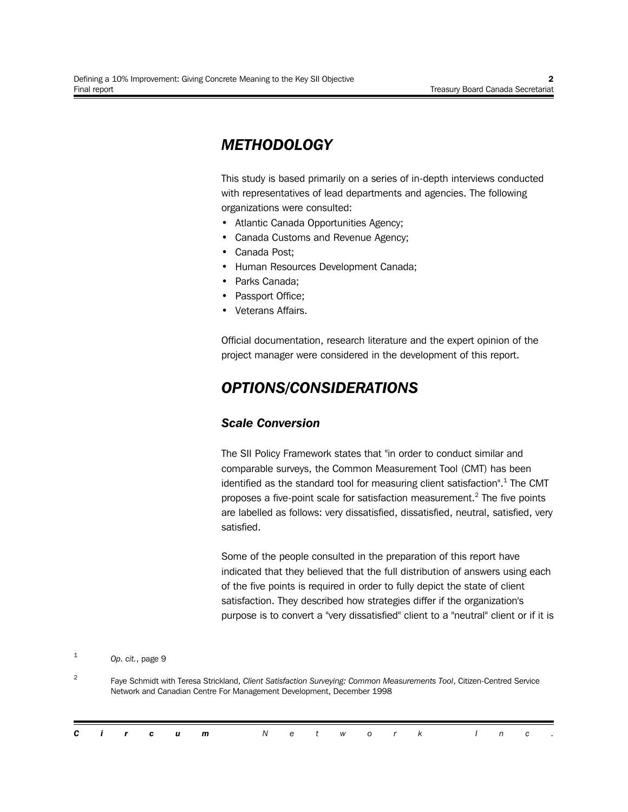# *METHODOLOGY*

This study is based primarily on a series of in-depth interviews conducted with representatives of lead departments and agencies. The following organizations were consulted:

- Atlantic Canada Opportunities Agency;
- Canada Customs and Revenue Agency;
- Canada Post;
- Human Resources Development Canada;
- Parks Canada:
- Passport Office;
- Veterans Affairs.

Official documentation, research literature and the expert opinion of the project manager were considered in the development of this report.

# *OPTIONS/CONSIDERATIONS*

### *Scale Conversion*

The SII Policy Framework states that "in order to conduct similar and comparable surveys, the Common Measurement Tool (CMT) has been identified as the standard tool for measuring client satisfaction".<sup>1</sup> The CMT proposes a five-point scale for satisfaction measurement.<sup>2</sup> The five points are labelled as follows: very dissatisfied, dissatisfied, neutral, satisfied, very satisfied.

Some of the people consulted in the preparation of this report have indicated that they believed that the full distribution of answers using each of the five points is required in order to fully depict the state of client satisfaction. They described how strategies differ if the organization's purpose is to convert a "very dissatisfied" client to a "neutral" client or if it is

1 *Op. cit.*, page 9

 $\mathfrak{D}$ Faye Schmidt with Teresa Strickland, *Client Satisfaction Surveying: Common Measurements Tool*, Citizen-Centred Service Network and Canadian Centre For Management Development, December 1998

|  |  | <b>Circum</b> Network Inc. |  |  |  |  |  |  |
|--|--|----------------------------|--|--|--|--|--|--|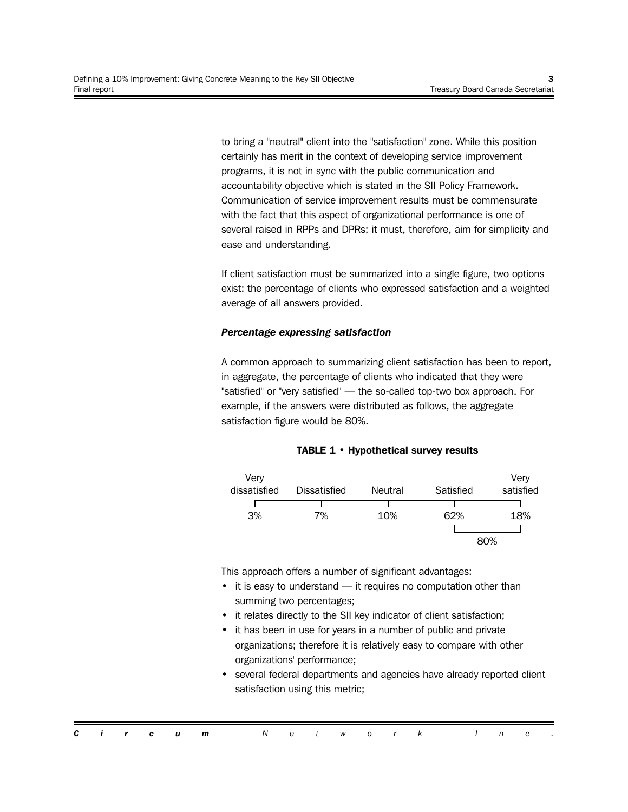to bring a "neutral" client into the "satisfaction" zone. While this position certainly has merit in the context of developing service improvement programs, it is not in sync with the public communication and accountability objective which is stated in the SII Policy Framework. Communication of service improvement results must be commensurate with the fact that this aspect of organizational performance is one of several raised in RPPs and DPRs; it must, therefore, aim for simplicity and ease and understanding.

If client satisfaction must be summarized into a single figure, two options exist: the percentage of clients who expressed satisfaction and a weighted average of all answers provided.

#### *Percentage expressing satisfaction*

A common approach to summarizing client satisfaction has been to report, in aggregate, the percentage of clients who indicated that they were "satisfied" or "very satisfied" — the so-called top-two box approach. For example, if the answers were distributed as follows, the aggregate satisfaction figure would be 80%.

#### **TABLE 1 • Hypothetical survey results**



This approach offers a number of significant advantages:

- it is easy to understand it requires no computation other than summing two percentages;
- it relates directly to the SII key indicator of client satisfaction;
- it has been in use for years in a number of public and private organizations; therefore it is relatively easy to compare with other organizations' performance;
- several federal departments and agencies have already reported client satisfaction using this metric;

|  |  | <b>Circum</b> Network Inc. |  |  |  |  |  |  |
|--|--|----------------------------|--|--|--|--|--|--|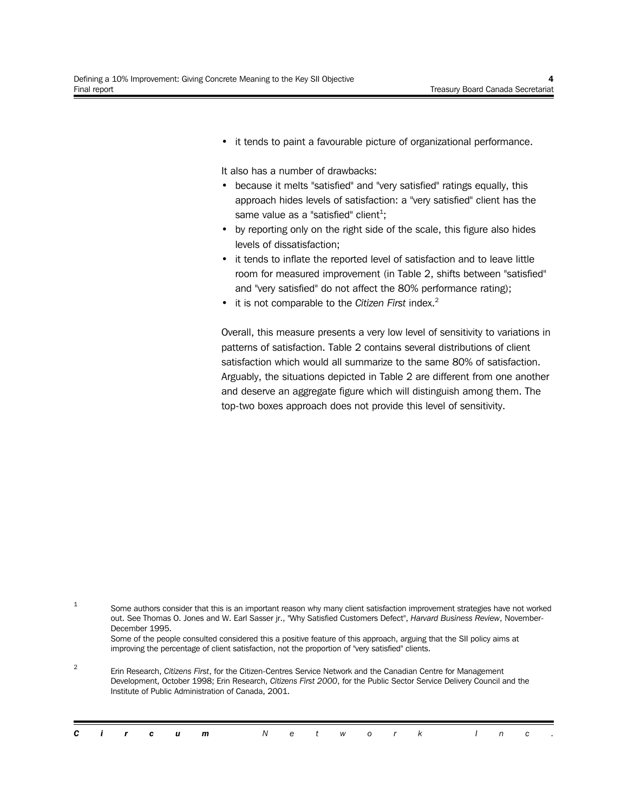• it tends to paint a favourable picture of organizational performance.

It also has a number of drawbacks:

- because it melts "satisfied" and "very satisfied" ratings equally, this approach hides levels of satisfaction: a "very satisfied" client has the same value as a "satisfied" client<sup>1</sup>;
- by reporting only on the right side of the scale, this figure also hides levels of dissatisfaction;
- it tends to inflate the reported level of satisfaction and to leave little room for measured improvement (in Table 2, shifts between "satisfied" and "very satisfied" do not affect the 80% performance rating);
- it is not comparable to the *Citizen First* index.<sup>2</sup>

Overall, this measure presents a very low level of sensitivity to variations in patterns of satisfaction. Table 2 contains several distributions of client satisfaction which would all summarize to the same 80% of satisfaction. Arguably, the situations depicted in Table 2 are different from one another and deserve an aggregate figure which will distinguish among them. The top-two boxes approach does not provide this level of sensitivity.

1 Some authors consider that this is an important reason why many client satisfaction improvement strategies have not worked out. See Thomas O. Jones and W. Earl Sasser jr., "Why Satisfied Customers Defect", *Harvard Business Review*, November-December 1995. Some of the people consulted considered this a positive feature of this approach, arguing that the SII policy aims at improving the percentage of client satisfaction, not the proportion of "very satisfied" clients.

2 Erin Research, *Citizens First*, for the Citizen-Centres Service Network and the Canadian Centre for Management Development, October 1998; Erin Research, *Citizens First 2000*, for the Public Sector Service Delivery Council and the Institute of Public Administration of Canada, 2001.

|  |  |  | <b>Circum</b> Network Inc. |  |  |  |  |  |  |
|--|--|--|----------------------------|--|--|--|--|--|--|
|  |  |  |                            |  |  |  |  |  |  |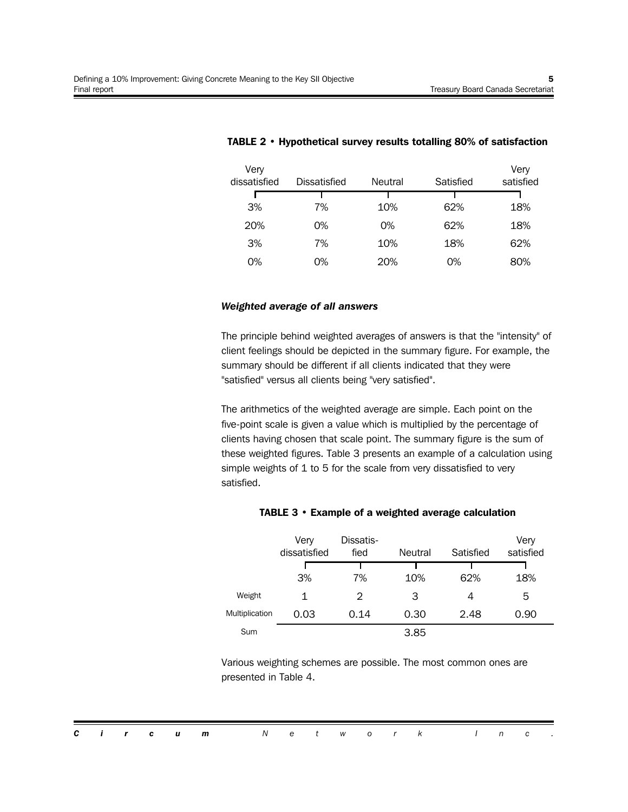| Very<br>dissatisfied | <b>Dissatisfied</b> | Neutral | Satisfied | Very<br>satisfied |
|----------------------|---------------------|---------|-----------|-------------------|
|                      |                     |         |           |                   |
| 3%                   | 7%                  | 10%     | 62%       | 18%               |
| 20%                  | 0%                  | 0%      | 62%       | 18%               |
| 3%                   | 7%                  | 10%     | 18%       | 62%               |
| 0%                   | 0%                  | 20%     | 0%        | 80%               |

#### **TABLE 2 • Hypothetical survey results totalling 80% of satisfaction**

#### *Weighted average of all answers*

The principle behind weighted averages of answers is that the "intensity" of client feelings should be depicted in the summary figure. For example, the summary should be different if all clients indicated that they were "satisfied" versus all clients being "very satisfied".

The arithmetics of the weighted average are simple. Each point on the five-point scale is given a value which is multiplied by the percentage of clients having chosen that scale point. The summary figure is the sum of these weighted figures. Table 3 presents an example of a calculation using simple weights of 1 to 5 for the scale from very dissatisfied to very satisfied.

|                | Very<br>dissatisfied | Dissatis-<br>fied | Neutral | Satisfied | Very<br>satisfied |
|----------------|----------------------|-------------------|---------|-----------|-------------------|
|                |                      |                   |         |           |                   |
|                | 3%                   | 7%                | 10%     | 62%       | 18%               |
| Weight         | 1                    | 2                 | З       | 4         | 5                 |
| Multiplication | 0.03                 | 0.14              | 0.30    | 2.48      | 0.90              |
| Sum            |                      |                   | 3.85    |           |                   |

#### **TABLE 3 • Example of a weighted average calculation**

Various weighting schemes are possible. The most common ones are presented in Table 4.

*Circum Network Inc .*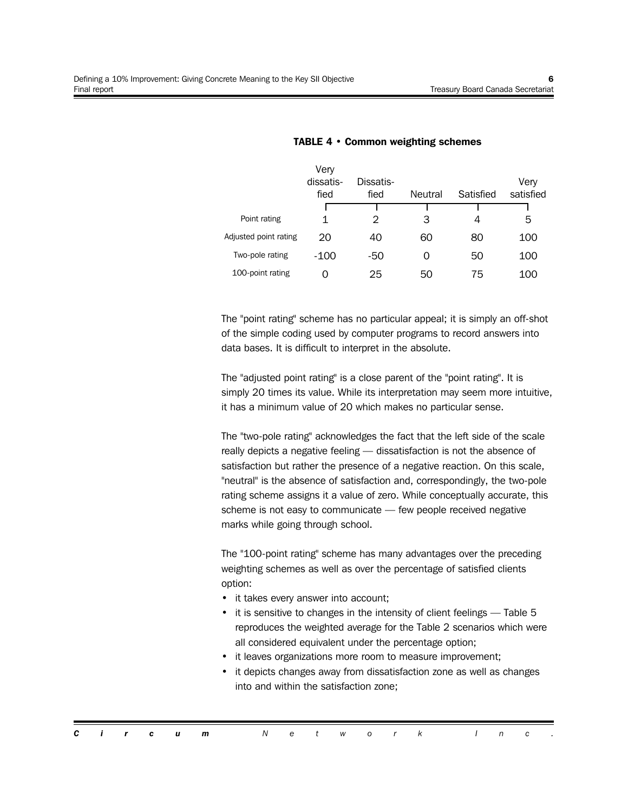|                       | Very<br>dissatis-<br>fied | Dissatis-<br>fied | <b>Neutral</b> | Satisfied | Very<br>satisfied |
|-----------------------|---------------------------|-------------------|----------------|-----------|-------------------|
| Point rating          |                           |                   |                |           |                   |
|                       | 1                         | 2                 | З              | 4         | 5                 |
| Adjusted point rating | 20                        | 40                | 60             | 80        | 100               |
| Two-pole rating       | -100                      | -50               | 0              | 50        | 100               |
| 100-point rating      |                           | 25                | 50             | 75        | 100               |

#### **TABLE 4 • Common weighting schemes**

The "point rating" scheme has no particular appeal; it is simply an off-shot of the simple coding used by computer programs to record answers into data bases. It is difficult to interpret in the absolute.

The "adjusted point rating" is a close parent of the "point rating". It is simply 20 times its value. While its interpretation may seem more intuitive, it has a minimum value of 20 which makes no particular sense.

The "two-pole rating" acknowledges the fact that the left side of the scale really depicts a negative feeling — dissatisfaction is not the absence of satisfaction but rather the presence of a negative reaction. On this scale, "neutral" is the absence of satisfaction and, correspondingly, the two-pole rating scheme assigns it a value of zero. While conceptually accurate, this scheme is not easy to communicate — few people received negative marks while going through school.

The "100-point rating" scheme has many advantages over the preceding weighting schemes as well as over the percentage of satisfied clients option:

- it takes every answer into account;
- it is sensitive to changes in the intensity of client feelings Table 5 reproduces the weighted average for the Table 2 scenarios which were all considered equivalent under the percentage option;
- it leaves organizations more room to measure improvement;
- it depicts changes away from dissatisfaction zone as well as changes into and within the satisfaction zone;

*Circum Network Inc .*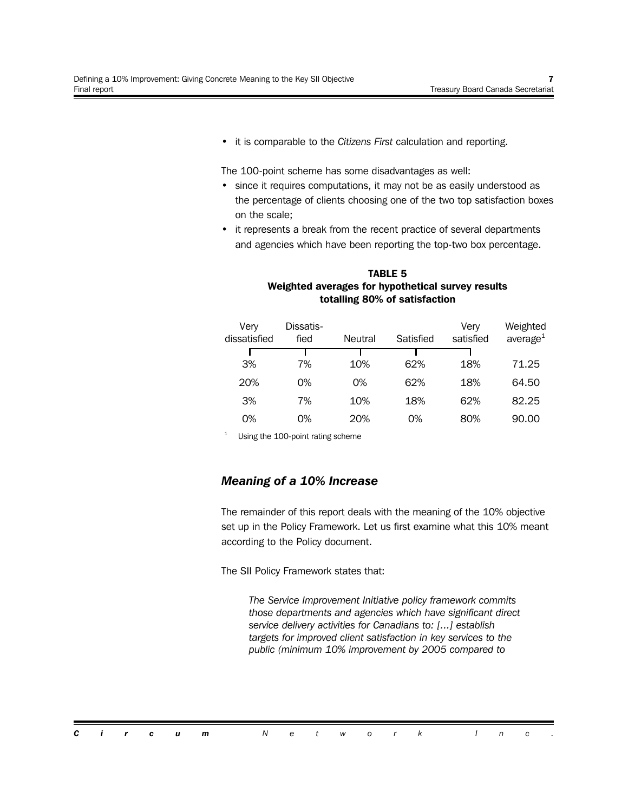• it is comparable to the *Citizens First* calculation and reporting.

The 100-point scheme has some disadvantages as well:

- since it requires computations, it may not be as easily understood as the percentage of clients choosing one of the two top satisfaction boxes on the scale;
- it represents a break from the recent practice of several departments and agencies which have been reporting the top-two box percentage.

| totalling 80% of satisfaction |                   |         |           |                   |                         |  |  |  |  |  |  |  |  |
|-------------------------------|-------------------|---------|-----------|-------------------|-------------------------|--|--|--|--|--|--|--|--|
| Very<br>dissatisfied          | Dissatis-<br>fied | Neutral | Satisfied | Verv<br>satisfied | Weighted<br>average $1$ |  |  |  |  |  |  |  |  |
|                               |                   |         |           |                   |                         |  |  |  |  |  |  |  |  |
| 3%                            | 7%                | 10%     | 62%       | 18%               | 71.25                   |  |  |  |  |  |  |  |  |
| 20%                           | 0%                | 0%      | 62%       | 18%               | 64.50                   |  |  |  |  |  |  |  |  |
| 3%                            | 7%                | 10%     | 18%       | 62%               | 82.25                   |  |  |  |  |  |  |  |  |
| 0%                            | 0%                | 20%     | 0%        | 80%               | 90.00                   |  |  |  |  |  |  |  |  |

### **TABLE 5 Weighted averages for hypothetical survey results totalling 80% of satisfaction**

<sup>1</sup> Using the 100-point rating scheme

### *Meaning of a 10% Increase*

The remainder of this report deals with the meaning of the 10% objective set up in the Policy Framework. Let us first examine what this 10% meant according to the Policy document.

The SII Policy Framework states that:

*The Service Improvement Initiative policy framework commits those departments and agencies which have significant direct service delivery activities for Canadians to: [...] establish targets for improved client satisfaction in key services to the public (minimum 10% improvement by 2005 compared to*

*Circum Network Inc .*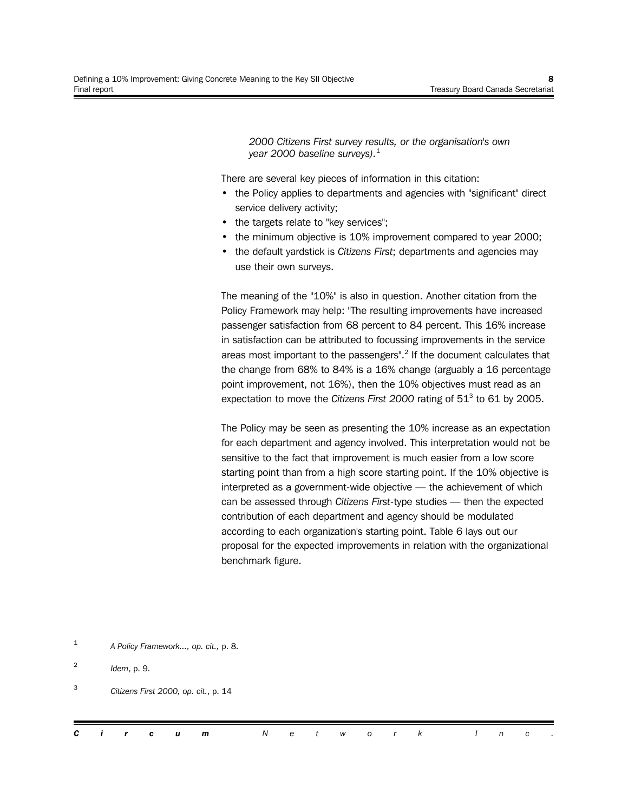*2000 Citizens First survey results, or the organisation's own year 2000 baseline surveys).*<sup>1</sup>

There are several key pieces of information in this citation:

- the Policy applies to departments and agencies with "significant" direct service delivery activity;
- the targets relate to "key services";
- the minimum objective is 10% improvement compared to year 2000;
- the default yardstick is *Citizens First*; departments and agencies may use their own surveys.

The meaning of the "10%" is also in question. Another citation from the Policy Framework may help: "The resulting improvements have increased passenger satisfaction from 68 percent to 84 percent. This 16% increase in satisfaction can be attributed to focussing improvements in the service areas most important to the passengers".<sup>2</sup> If the document calculates that the change from 68% to 84% is a 16% change (arguably a 16 percentage point improvement, not 16%), then the 10% objectives must read as an expectation to move the *Citizens First 2000* rating of 51<sup>3</sup> to 61 by 2005.

The Policy may be seen as presenting the 10% increase as an expectation for each department and agency involved. This interpretation would not be sensitive to the fact that improvement is much easier from a low score starting point than from a high score starting point. If the 10% objective is interpreted as a government-wide objective — the achievement of which can be assessed through *Citizens First*-type studies — then the expected contribution of each department and agency should be modulated according to each organization's starting point. Table 6 lays out our proposal for the expected improvements in relation with the organizational benchmark figure.

<sup>1</sup> *A Policy Framework..., op. cit.,* p. 8.

<sup>2</sup> *Idem*, p. 9.

<sup>3</sup> *Citizens First 2000, op. cit.*, p. 14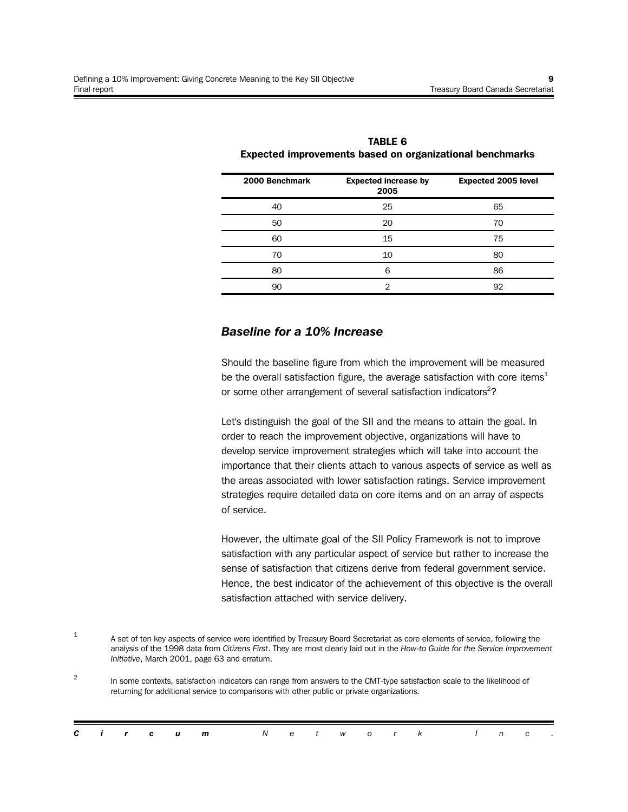| 2000 Benchmark | <b>Expected increase by</b><br>2005 | <b>Expected 2005 level</b> |
|----------------|-------------------------------------|----------------------------|
| 40             | 25                                  | 65                         |
| 50             | 20                                  | 70                         |
| 60             | 15                                  | 75                         |
| 70             | 10                                  | 80                         |
| 80             | 6                                   | 86                         |
| 90             | 2                                   | 92                         |

**TABLE 6 Expected improvements based on organizational benchmarks**

### *Baseline for a 10% Increase*

Should the baseline figure from which the improvement will be measured be the overall satisfaction figure, the average satisfaction with core items<sup>1</sup> or some other arrangement of several satisfaction indicators<sup>2</sup>?

Let's distinguish the goal of the SII and the means to attain the goal. In order to reach the improvement objective, organizations will have to develop service improvement strategies which will take into account the importance that their clients attach to various aspects of service as well as the areas associated with lower satisfaction ratings. Service improvement strategies require detailed data on core items and on an array of aspects of service.

However, the ultimate goal of the SII Policy Framework is not to improve satisfaction with any particular aspect of service but rather to increase the sense of satisfaction that citizens derive from federal government service. Hence, the best indicator of the achievement of this objective is the overall satisfaction attached with service delivery.

<sup>2</sup> In some contexts, satisfaction indicators can range from answers to the CMT-type satisfaction scale to the likelihood of returning for additional service to comparisons with other public or private organizations.

| <b>Circum</b> Network Inc. |  |  |  |  |  |  |  |  |  |  |  |  |  |  |  |  |  |
|----------------------------|--|--|--|--|--|--|--|--|--|--|--|--|--|--|--|--|--|
|----------------------------|--|--|--|--|--|--|--|--|--|--|--|--|--|--|--|--|--|

<sup>1</sup> A set of ten key aspects of service were identified by Treasury Board Secretariat as core elements of service, following the analysis of the 1998 data from *Citizens First*. They are most clearly laid out in the *How-to Guide for the Service Improvement Initiative*, March 2001, page 63 and erratum.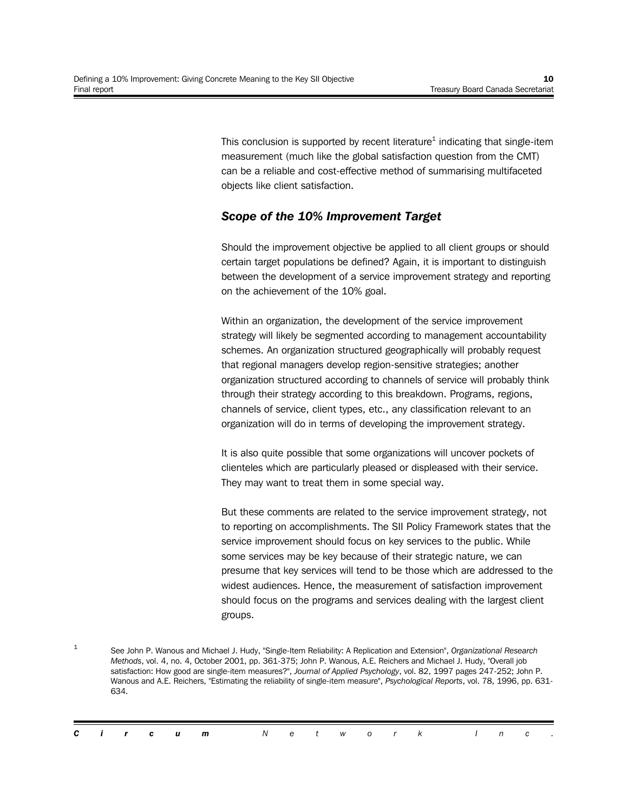This conclusion is supported by recent literature $^{\rm 1}$  indicating that single-item measurement (much like the global satisfaction question from the CMT) can be a reliable and cost-effective method of summarising multifaceted objects like client satisfaction.

## *Scope of the 10% Improvement Target*

Should the improvement objective be applied to all client groups or should certain target populations be defined? Again, it is important to distinguish between the development of a service improvement strategy and reporting on the achievement of the 10% goal.

Within an organization, the development of the service improvement strategy will likely be segmented according to management accountability schemes. An organization structured geographically will probably request that regional managers develop region-sensitive strategies; another organization structured according to channels of service will probably think through their strategy according to this breakdown. Programs, regions, channels of service, client types, etc., any classification relevant to an organization will do in terms of developing the improvement strategy.

It is also quite possible that some organizations will uncover pockets of clienteles which are particularly pleased or displeased with their service. They may want to treat them in some special way.

But these comments are related to the service improvement strategy, not to reporting on accomplishments. The SII Policy Framework states that the service improvement should focus on key services to the public. While some services may be key because of their strategic nature, we can presume that key services will tend to be those which are addressed to the widest audiences. Hence, the measurement of satisfaction improvement should focus on the programs and services dealing with the largest client groups.

<sup>1</sup> See John P. Wanous and Michael J. Hudy, "Single-Item Reliability: A Replication and Extension", *Organizational Research Methods*, vol. 4, no. 4, October 2001, pp. 361-375; John P. Wanous, A.E. Reichers and Michael J. Hudy, "Overall job satisfaction: How good are single-item measures?", *Journal of Applied Psychology*, vol. 82, 1997 pages 247-252; John P. Wanous and A.E. Reichers, "Estimating the reliability of single-item measure", *Psychological Reports*, vol. 78, 1996, pp. 631- 634.

|  |  | <b>Circum</b> Network Inc. |  |  |  |  |  |  |
|--|--|----------------------------|--|--|--|--|--|--|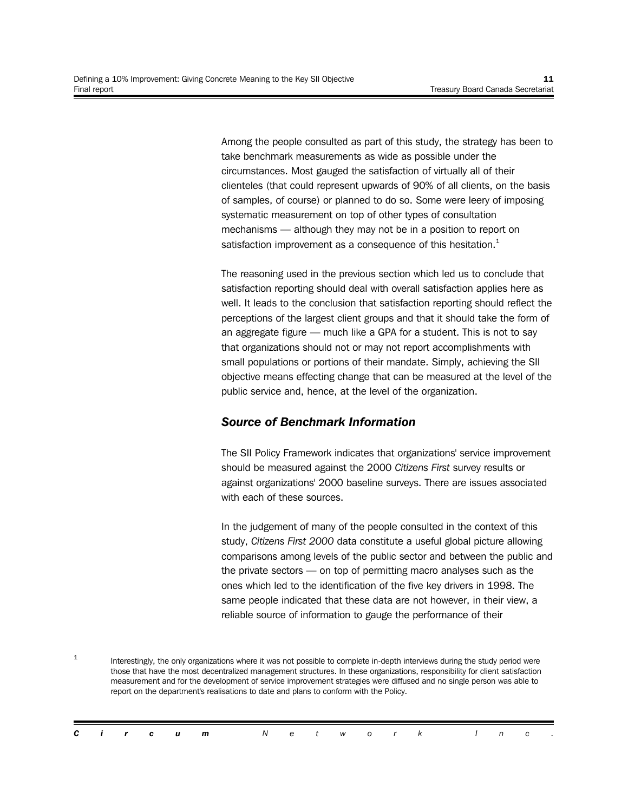Among the people consulted as part of this study, the strategy has been to take benchmark measurements as wide as possible under the circumstances. Most gauged the satisfaction of virtually all of their clienteles (that could represent upwards of 90% of all clients, on the basis of samples, of course) or planned to do so. Some were leery of imposing systematic measurement on top of other types of consultation mechanisms — although they may not be in a position to report on satisfaction improvement as a consequence of this hesitation. $<sup>1</sup>$ </sup>

The reasoning used in the previous section which led us to conclude that satisfaction reporting should deal with overall satisfaction applies here as well. It leads to the conclusion that satisfaction reporting should reflect the perceptions of the largest client groups and that it should take the form of an aggregate figure — much like a GPA for a student. This is not to say that organizations should not or may not report accomplishments with small populations or portions of their mandate. Simply, achieving the SII objective means effecting change that can be measured at the level of the public service and, hence, at the level of the organization.

### *Source of Benchmark Information*

The SII Policy Framework indicates that organizations' service improvement should be measured against the 2000 *Citizens First* survey results or against organizations' 2000 baseline surveys. There are issues associated with each of these sources.

In the judgement of many of the people consulted in the context of this study, *Citizens First 2000* data constitute a useful global picture allowing comparisons among levels of the public sector and between the public and the private sectors — on top of permitting macro analyses such as the ones which led to the identification of the five key drivers in 1998. The same people indicated that these data are not however, in their view, a reliable source of information to gauge the performance of their

1 Interestingly, the only organizations where it was not possible to complete in-depth interviews during the study period were those that have the most decentralized management structures. In these organizations, responsibility for client satisfaction measurement and for the development of service improvement strategies were diffused and no single person was able to report on the department's realisations to date and plans to conform with the Policy.

|  |  | <b>Circum</b> Network Inc. |  |  |  |  |  |  |
|--|--|----------------------------|--|--|--|--|--|--|